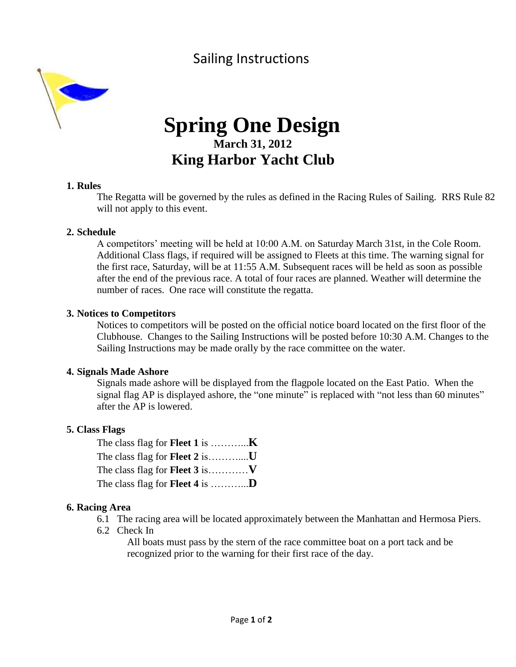## Sailing Instructions



# **Spring One Design March 31, 2012 King Harbor Yacht Club**

#### **1. Rules**

The Regatta will be governed by the rules as defined in the Racing Rules of Sailing. RRS Rule 82 will not apply to this event.

#### **2. Schedule**

A competitors' meeting will be held at 10:00 A.M. on Saturday March 31st, in the Cole Room. Additional Class flags, if required will be assigned to Fleets at this time. The warning signal for the first race, Saturday, will be at 11:55 A.M. Subsequent races will be held as soon as possible after the end of the previous race. A total of four races are planned. Weather will determine the number of races. One race will constitute the regatta.

#### **3. Notices to Competitors**

Notices to competitors will be posted on the official notice board located on the first floor of the Clubhouse. Changes to the Sailing Instructions will be posted before 10:30 A.M. Changes to the Sailing Instructions may be made orally by the race committee on the water.

#### **4. Signals Made Ashore**

Signals made ashore will be displayed from the flagpole located on the East Patio. When the signal flag AP is displayed ashore, the "one minute" is replaced with "not less than 60 minutes" after the AP is lowered.

#### **5. Class Flags**

| The class flag for <b>Fleet 2</b> is          |  |
|-----------------------------------------------|--|
|                                               |  |
| The class flag for <b>Fleet 4</b> is <b>D</b> |  |

#### **6. Racing Area**

- 6.1 The racing area will be located approximately between the Manhattan and Hermosa Piers.
- 6.2 Check In

All boats must pass by the stern of the race committee boat on a port tack and be recognized prior to the warning for their first race of the day.